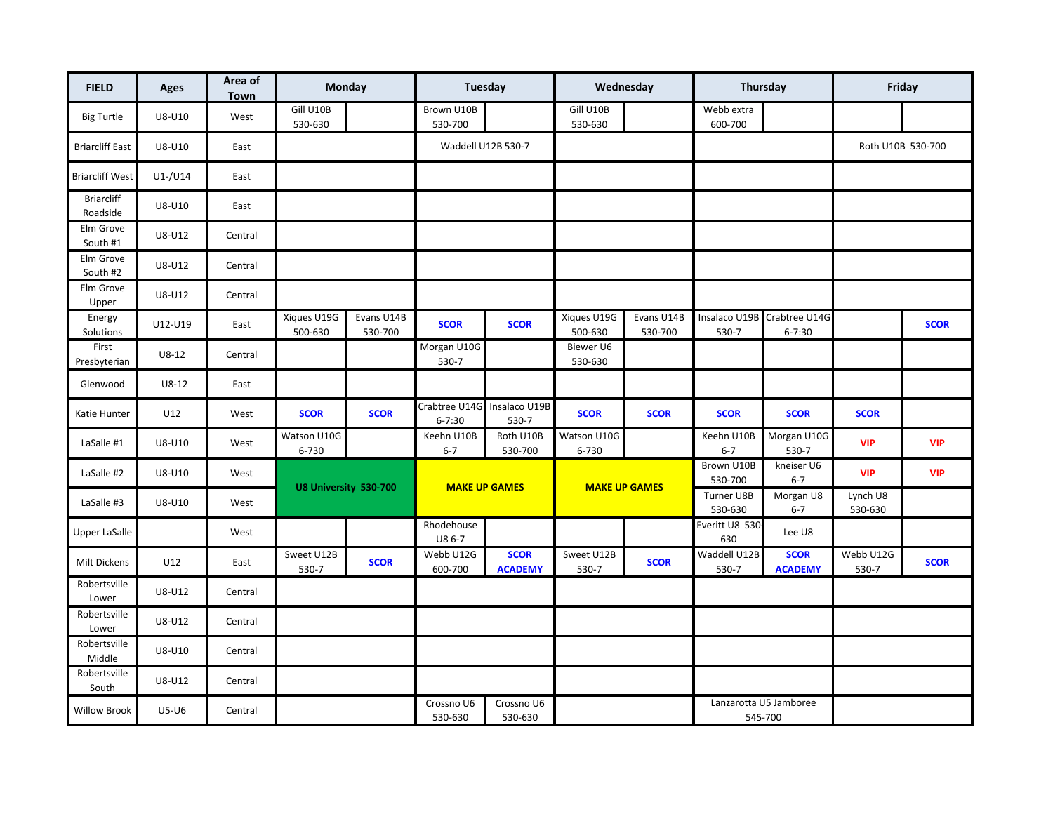| <b>FIELD</b>                  | Ages          | Area of<br>Town | Monday                 |                       | Tuesday                     |                               | Wednesday              |                       | Thursday              |                                           | Friday              |             |
|-------------------------------|---------------|-----------------|------------------------|-----------------------|-----------------------------|-------------------------------|------------------------|-----------------------|-----------------------|-------------------------------------------|---------------------|-------------|
| <b>Big Turtle</b>             | U8-U10        | West            | Gill U10B<br>530-630   |                       | Brown U10B<br>530-700       |                               | Gill U10B<br>530-630   |                       | Webb extra<br>600-700 |                                           |                     |             |
| <b>Briarcliff East</b>        | U8-U10        | East            |                        |                       | Waddell U12B 530-7          |                               |                        |                       |                       |                                           | Roth U10B 530-700   |             |
| <b>Briarcliff West</b>        | $U1$ -/ $U14$ | East            |                        |                       |                             |                               |                        |                       |                       |                                           |                     |             |
| <b>Briarcliff</b><br>Roadside | U8-U10        | East            |                        |                       |                             |                               |                        |                       |                       |                                           |                     |             |
| Elm Grove<br>South #1         | U8-U12        | Central         |                        |                       |                             |                               |                        |                       |                       |                                           |                     |             |
| Elm Grove<br>South #2         | U8-U12        | Central         |                        |                       |                             |                               |                        |                       |                       |                                           |                     |             |
| Elm Grove<br>Upper            | U8-U12        | Central         |                        |                       |                             |                               |                        |                       |                       |                                           |                     |             |
| Energy<br>Solutions           | U12-U19       | East            | Xiques U19G<br>500-630 | Evans U14B<br>530-700 | <b>SCOR</b>                 | <b>SCOR</b>                   | Xiques U19G<br>500-630 | Evans U14B<br>530-700 | 530-7                 | Insalaco U19B Crabtree U14G<br>$6 - 7:30$ |                     | <b>SCOR</b> |
| First<br>Presbyterian         | $U8-12$       | Central         |                        |                       | Morgan U10G<br>530-7        |                               | Biewer U6<br>530-630   |                       |                       |                                           |                     |             |
| Glenwood                      | $U8-12$       | East            |                        |                       |                             |                               |                        |                       |                       |                                           |                     |             |
| Katie Hunter                  | U12           | West            | <b>SCOR</b>            | <b>SCOR</b>           | Crabtree U14G<br>$6 - 7:30$ | Insalaco U19B<br>530-7        | <b>SCOR</b>            | <b>SCOR</b>           | <b>SCOR</b>           | <b>SCOR</b>                               | <b>SCOR</b>         |             |
| LaSalle #1                    | U8-U10        | West            | Watson U10G<br>6-730   |                       | Keehn U10B<br>$6 - 7$       | Roth U10B<br>530-700          | Watson U10G<br>6-730   |                       | Keehn U10B<br>$6 - 7$ | Morgan U10G<br>530-7                      | <b>VIP</b>          | <b>VIP</b>  |
| LaSalle #2                    | U8-U10        | West            | U8 University 530-700  |                       | <b>MAKE UP GAMES</b>        |                               | <b>MAKE UP GAMES</b>   |                       | Brown U10B<br>530-700 | kneiser U6<br>$6 - 7$                     | <b>VIP</b>          | <b>VIP</b>  |
| LaSalle #3                    | U8-U10        | West            |                        |                       |                             |                               |                        |                       | Turner U8B<br>530-630 | Morgan U8<br>$6 - 7$                      | Lynch U8<br>530-630 |             |
| <b>Upper LaSalle</b>          |               | West            |                        |                       | Rhodehouse<br>U8 6-7        |                               |                        |                       | Everitt U8 530<br>630 | Lee U8                                    |                     |             |
| Milt Dickens                  | U12           | East            | Sweet U12B<br>530-7    | <b>SCOR</b>           | Webb U12G<br>600-700        | <b>SCOR</b><br><b>ACADEMY</b> | Sweet U12B<br>530-7    | <b>SCOR</b>           | Waddell U12B<br>530-7 | <b>SCOR</b><br><b>ACADEMY</b>             | Webb U12G<br>530-7  | <b>SCOR</b> |
| Robertsville<br>Lower         | U8-U12        | Central         |                        |                       |                             |                               |                        |                       |                       |                                           |                     |             |
| Robertsville<br>Lower         | U8-U12        | Central         |                        |                       |                             |                               |                        |                       |                       |                                           |                     |             |
| Robertsville<br>Middle        | U8-U10        | Central         |                        |                       |                             |                               |                        |                       |                       |                                           |                     |             |
| Robertsville<br>South         | U8-U12        | Central         |                        |                       |                             |                               |                        |                       |                       |                                           |                     |             |
| <b>Willow Brook</b>           | U5-U6         | Central         |                        |                       | Crossno U6<br>530-630       | Crossno U6<br>530-630         |                        |                       |                       | Lanzarotta U5 Jamboree<br>545-700         |                     |             |